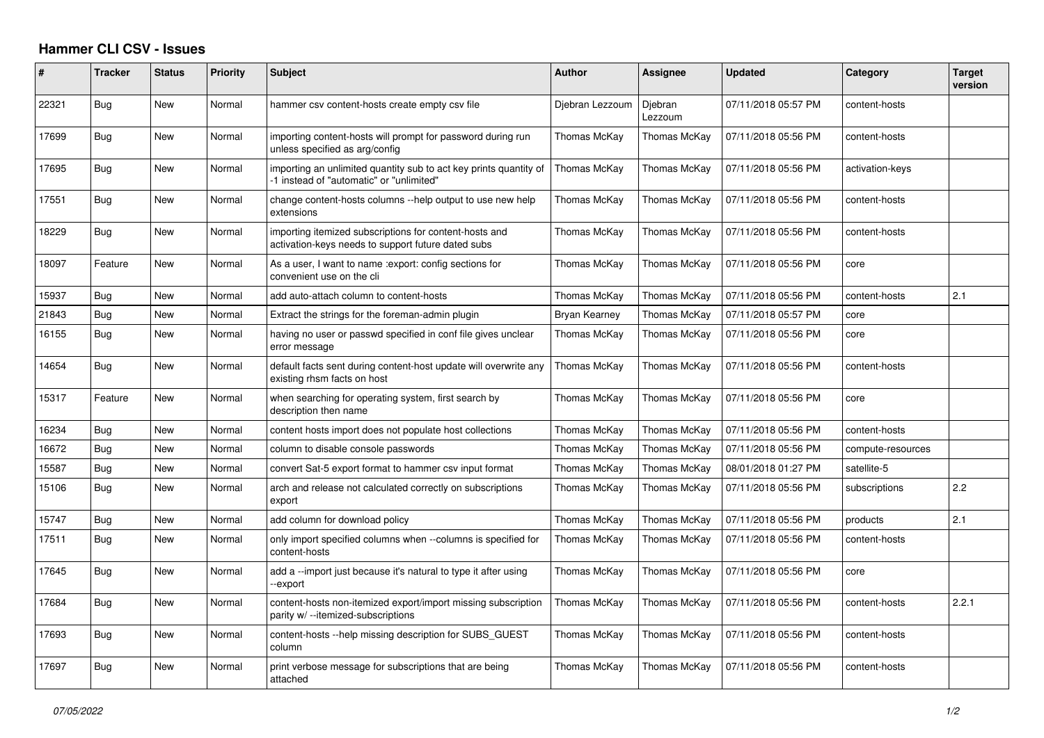## **Hammer CLI CSV - Issues**

| ∦     | <b>Tracker</b> | <b>Status</b> | <b>Priority</b> | <b>Subject</b>                                                                                                | <b>Author</b>   | <b>Assignee</b>    | <b>Updated</b>      | Category          | <b>Target</b><br>version |
|-------|----------------|---------------|-----------------|---------------------------------------------------------------------------------------------------------------|-----------------|--------------------|---------------------|-------------------|--------------------------|
| 22321 | Bug            | New           | Normal          | hammer csy content-hosts create empty csy file                                                                | Djebran Lezzoum | Djebran<br>Lezzoum | 07/11/2018 05:57 PM | content-hosts     |                          |
| 17699 | Bug            | New           | Normal          | importing content-hosts will prompt for password during run<br>unless specified as arg/config                 | Thomas McKay    | Thomas McKay       | 07/11/2018 05:56 PM | content-hosts     |                          |
| 17695 | Bug            | New           | Normal          | importing an unlimited quantity sub to act key prints quantity of<br>-1 instead of "automatic" or "unlimited" | Thomas McKay    | Thomas McKay       | 07/11/2018 05:56 PM | activation-keys   |                          |
| 17551 | Bug            | New           | Normal          | change content-hosts columns --help output to use new help<br>extensions                                      | Thomas McKay    | Thomas McKay       | 07/11/2018 05:56 PM | content-hosts     |                          |
| 18229 | Bug            | New           | Normal          | importing itemized subscriptions for content-hosts and<br>activation-keys needs to support future dated subs  | Thomas McKay    | Thomas McKay       | 07/11/2018 05:56 PM | content-hosts     |                          |
| 18097 | Feature        | New           | Normal          | As a user, I want to name : export: config sections for<br>convenient use on the cli                          | Thomas McKay    | Thomas McKay       | 07/11/2018 05:56 PM | core              |                          |
| 15937 | Bug            | New           | Normal          | add auto-attach column to content-hosts                                                                       | Thomas McKay    | Thomas McKay       | 07/11/2018 05:56 PM | content-hosts     | 2.1                      |
| 21843 | <b>Bug</b>     | New           | Normal          | Extract the strings for the foreman-admin plugin                                                              | Bryan Kearney   | Thomas McKay       | 07/11/2018 05:57 PM | core              |                          |
| 16155 | Bug            | New           | Normal          | having no user or passwd specified in conf file gives unclear<br>error message                                | Thomas McKay    | Thomas McKay       | 07/11/2018 05:56 PM | core              |                          |
| 14654 | <b>Bug</b>     | <b>New</b>    | Normal          | default facts sent during content-host update will overwrite any<br>existing rhsm facts on host               | Thomas McKay    | Thomas McKay       | 07/11/2018 05:56 PM | content-hosts     |                          |
| 15317 | Feature        | New           | Normal          | when searching for operating system, first search by<br>description then name                                 | Thomas McKay    | Thomas McKay       | 07/11/2018 05:56 PM | core              |                          |
| 16234 | Bug            | New           | Normal          | content hosts import does not populate host collections                                                       | Thomas McKay    | Thomas McKay       | 07/11/2018 05:56 PM | content-hosts     |                          |
| 16672 | Bug            | New           | Normal          | column to disable console passwords                                                                           | Thomas McKay    | Thomas McKay       | 07/11/2018 05:56 PM | compute-resources |                          |
| 15587 | Bug            | New           | Normal          | convert Sat-5 export format to hammer csv input format                                                        | Thomas McKay    | Thomas McKay       | 08/01/2018 01:27 PM | satellite-5       |                          |
| 15106 | Bug            | New           | Normal          | arch and release not calculated correctly on subscriptions<br>export                                          | Thomas McKay    | Thomas McKay       | 07/11/2018 05:56 PM | subscriptions     | 2.2                      |
| 15747 | Bug            | <b>New</b>    | Normal          | add column for download policy                                                                                | Thomas McKay    | Thomas McKay       | 07/11/2018 05:56 PM | products          | 2.1                      |
| 17511 | Bug            | New           | Normal          | only import specified columns when --columns is specified for<br>content-hosts                                | Thomas McKay    | Thomas McKay       | 07/11/2018 05:56 PM | content-hosts     |                          |
| 17645 | Bug            | New           | Normal          | add a --import just because it's natural to type it after using<br>-export                                    | Thomas McKay    | Thomas McKay       | 07/11/2018 05:56 PM | core              |                          |
| 17684 | Bug            | <b>New</b>    | Normal          | content-hosts non-itemized export/import missing subscription<br>parity w/ --itemized-subscriptions           | Thomas McKay    | Thomas McKay       | 07/11/2018 05:56 PM | content-hosts     | 2.2.1                    |
| 17693 | <b>Bug</b>     | <b>New</b>    | Normal          | content-hosts --help missing description for SUBS GUEST<br>column                                             | Thomas McKav    | Thomas McKay       | 07/11/2018 05:56 PM | content-hosts     |                          |
| 17697 | Bug            | New           | Normal          | print verbose message for subscriptions that are being<br>attached                                            | Thomas McKay    | Thomas McKay       | 07/11/2018 05:56 PM | content-hosts     |                          |